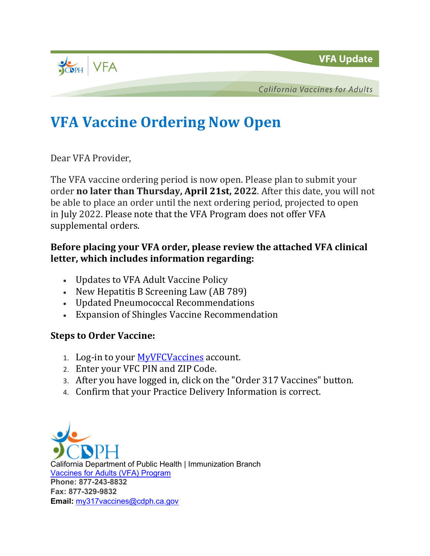**VFA Update** 



**California Vaccines for Adults** 

## **VFA Vaccine Ordering Now Open**

Dear VFA Provider,

The VFA vaccine ordering period is now open. Please plan to submit your order **no later than Thursday, April 21st, 2022**. After this date, you will not be able to place an order until the next ordering period, projected to open in July 2022. Please note that the VFA Program does not offer VFA supplemental orders.

## **Before placing your VFA order, please review the attached VFA clinical letter, which includes information regarding:**

- Updates to VFA Adult Vaccine Policy
- New Hepatitis B Screening Law (AB 789)
- Updated Pneumococcal Recommendations
- Expansion of Shingles Vaccine Recommendation

## **Steps to Order Vaccine:**

- 1. Log-in to your [MyVFCVaccines](https://eziz.org/myvfcvaccines/) account.
- 2. Enter your VFC PIN and ZIP Code.
- 3. After you have logged in, click on the "Order 317 Vaccines" button.
- 4. Confirm that your Practice Delivery Information is correct.